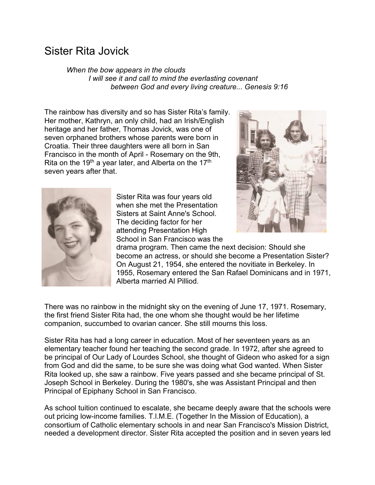## Sister Rita Jovick

*When the bow appears in the clouds I will see it and call to mind the everlasting covenant between God and every living creature... Genesis 9:16* 

The rainbow has diversity and so has Sister Rita's family. Her mother, Kathryn, an only child, had an Irish/English heritage and her father, Thomas Jovick, was one of seven orphaned brothers whose parents were born in Croatia. Their three daughters were all born in San Francisco in the month of April - Rosemary on the 9th, Rita on the 19<sup>th</sup> a year later, and Alberta on the 17<sup>th</sup> seven years after that.





Sister Rita was four years old when she met the Presentation Sisters at Saint Anne's School. The deciding factor for her attending Presentation High School in San Francisco was the

drama program. Then came the next decision: Should she become an actress, or should she become a Presentation Sister? On August 21, 1954, she entered the novitiate in Berkeley. In 1955, Rosemary entered the San Rafael Dominicans and in 1971, Alberta married Al Pilliod.

There was no rainbow in the midnight sky on the evening of June 17, 1971. Rosemary, the first friend Sister Rita had, the one whom she thought would be her lifetime companion, succumbed to ovarian cancer. She still mourns this loss.

Sister Rita has had a long career in education. Most of her seventeen years as an elementary teacher found her teaching the second grade. In 1972, after she agreed to be principal of Our Lady of Lourdes School, she thought of Gideon who asked for a sign from God and did the same, to be sure she was doing what God wanted. When Sister Rita looked up, she saw a rainbow. Five years passed and she became principal of St. Joseph School in Berkeley. During the 1980's, she was Assistant Principal and then Principal of Epiphany School in San Francisco.

As school tuition continued to escalate, she became deeply aware that the schools were out pricing low-income families. T.l.M.E. (Together In the Mission of Education), a consortium of Catholic elementary schools in and near San Francisco's Mission District, needed a development director. Sister Rita accepted the position and in seven years led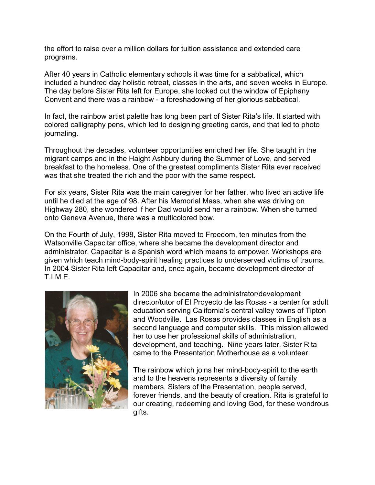the effort to raise over a million dollars for tuition assistance and extended care programs.

After 40 years in Catholic elementary schools it was time for a sabbatical, which included a hundred day holistic retreat, classes in the arts, and seven weeks in Europe. The day before Sister Rita left for Europe, she looked out the window of Epiphany Convent and there was a rainbow - a foreshadowing of her glorious sabbatical.

In fact, the rainbow artist palette has long been part of Sister Rita's life. It started with colored calligraphy pens, which led to designing greeting cards, and that led to photo journaling.

Throughout the decades, volunteer opportunities enriched her life. She taught in the migrant camps and in the Haight Ashbury during the Summer of Love, and served breakfast to the homeless. One of the greatest compliments Sister Rita ever received was that she treated the rich and the poor with the same respect.

For six years, Sister Rita was the main caregiver for her father, who lived an active life until he died at the age of 98. After his Memorial Mass, when she was driving on Highway 280, she wondered if her Dad would send her a rainbow. When she turned onto Geneva Avenue, there was a multicolored bow.

On the Fourth of July, 1998, Sister Rita moved to Freedom, ten minutes from the Watsonville Capacitar office, where she became the development director and administrator. Capacitar is a Spanish word which means to empower. Workshops are given which teach mind-body-spirit healing practices to underserved victims of trauma. In 2004 Sister Rita left Capacitar and, once again, became development director of T.I.M.E.



In 2006 she became the administrator/development director/tutor of El Proyecto de las Rosas - a center for adult education serving California's central valley towns of Tipton and Woodville. Las Rosas provides classes in English as a second language and computer skills. This mission allowed her to use her professional skills of administration, development, and teaching. Nine years later, Sister Rita came to the Presentation Motherhouse as a volunteer.

The rainbow which joins her mind-body-spirit to the earth and to the heavens represents a diversity of family members, Sisters of the Presentation, people served, forever friends, and the beauty of creation. Rita is grateful to our creating, redeeming and loving God, for these wondrous gifts.